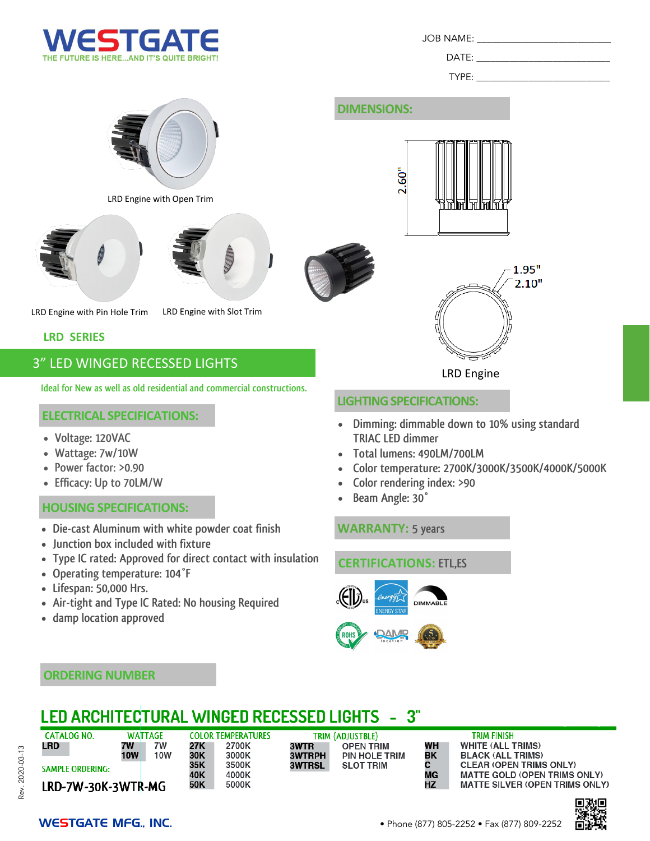

JOB NAME:

 $DATE:$ 

TYPE:

LRD Engine with Open Trim





LRD Engine with Pin Hole Trim LRD Engine with Slot Trim

#### **LRD SERIES**

# 3" LED WINGED RECESSED LIGHTS

**Ideal for New as well as old residential and commercial constructions.**

#### **ELECTRICAL SPECIFICATIONS:**

- **Voltage: 120VAC**
- **Wattage: 7w/10W**
- **Power factor: >0.90**
- **Efficacy: Up to 70LM/W**

#### **HOUSING SPECIFICATIONS:**

- **Die-cast Aluminum with white powder coat finish**
- **Junction box included with fixture**
- **Type IC rated: Approved for direct contact with insulation**
- **Operating temperature: 104°F**
- **Lifespan: 50,000 Hrs.**
- **Air-tight and Type IC Rated: No housing Required**
- **damp location approved**

# **DIMENSIONS:**





LRD Engine

#### **LIGHTING SPECIFICATIONS:**

- **Dimming: dimmable down to 10% using standard TRIAC LED dimmer**
- **Total lumens: 490LM/700LM**
- **Color temperature: 2700K/3000K/3500K/4000K/5000K**
- **Color rendering index: >90**
- **Beam Angle: 30°**

#### **WARRANTY: 5 years**

## **CERTIFICATIONS: ETL,ES**





#### **ORDERING NUMBER**

#### **LED ARCHITECTURAL WINGED RECESSED LIGHTS**  $3"$

| ٢ |
|---|
|   |
|   |
| ļ |
|   |
|   |
|   |
|   |
|   |
|   |
|   |
|   |
|   |

| <b>CATALOG NO.</b>      | <b>WATTAGE</b> |            | <b>COLOR T</b> |  |
|-------------------------|----------------|------------|----------------|--|
| LRD                     | 7W             | 7W         | 27K            |  |
|                         | <b>10W</b>     | <b>10W</b> | 30K            |  |
| <b>SAMPLE ORDERING:</b> |                |            | 35K            |  |
|                         |                |            | 40K            |  |
| LRD-7W-30K-3WTR-MG      | 50K            |            |                |  |

| EMPERATURES |
|-------------|
| 2700K       |
| 3000K       |
| 3500K       |
| 4000K       |
| 5000K       |

#### TRIM (ADJUSTBLE) 3WTR **OPEN TRIM 3WTRPH** PIN HOLE TRIM **3WTRSL SLOT TRIM**

#### WH BK C **MG HZ**

### **TRIM FINISH WHITE (ALL TRIMS)**

**BLACK (ALL TRIMS) CLEAR (OPEN TRIMS ONLY) MATTE GOLD (OPEN TRIMS ONLY) MATTE SILVER (OPEN TRIMS ONLY)**